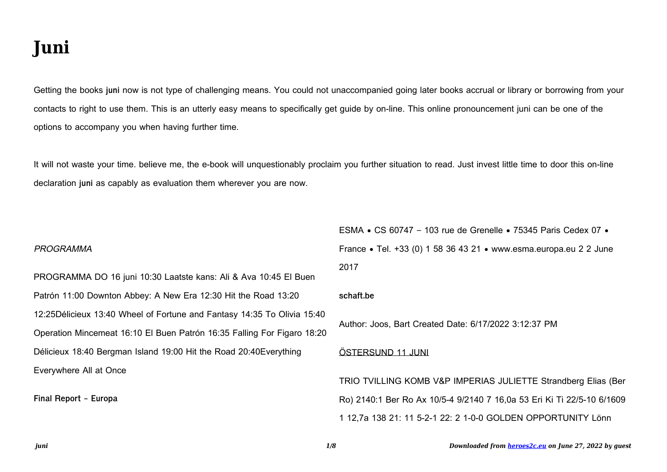# **Juni**

Getting the books **juni** now is not type of challenging means. You could not unaccompanied going later books accrual or library or borrowing from your contacts to right to use them. This is an utterly easy means to specifically get guide by on-line. This online pronouncement juni can be one of the options to accompany you when having further time.

It will not waste your time. believe me, the e-book will unquestionably proclaim you further situation to read. Just invest little time to door this on-line declaration **juni** as capably as evaluation them wherever you are now.

## PROGRAMMA

PROGRAMMA DO 16 juni 10:30 Laatste kans: Ali & Ava 10:45 El Buen Patrón 11:00 Downton Abbey: A New Era 12:30 Hit the Road 13:20 12:25Délicieux 13:40 Wheel of Fortune and Fantasy 14:35 To Olivia 15:40 Operation Mincemeat 16:10 El Buen Patrón 16:35 Falling For Figaro 18:20 Délicieux 18:40 Bergman Island 19:00 Hit the Road 20:40Everything Everywhere All at Once

**Final Report - Europa**

ESMA • CS 60747 – 103 rue de Grenelle • 75345 Paris Cedex 07 • France • Tel. +33 (0) 1 58 36 43 21 • www.esma.europa.eu 2 2 June 2017

#### **schaft.be**

Author: Joos, Bart Created Date: 6/17/2022 3:12:37 PM

# ÖSTERSUND 11 JUNI

TRIO TVILLING KOMB V&P IMPERIAS JULIETTE Strandberg Elias (Ber Ro) 2140:1 Ber Ro Ax 10/5-4 9/2140 7 16,0a 53 Eri Ki Ti 22/5-10 6/1609 1 12,7a 138 21: 11 5-2-1 22: 2 1-0-0 GOLDEN OPPORTUNITY Lönn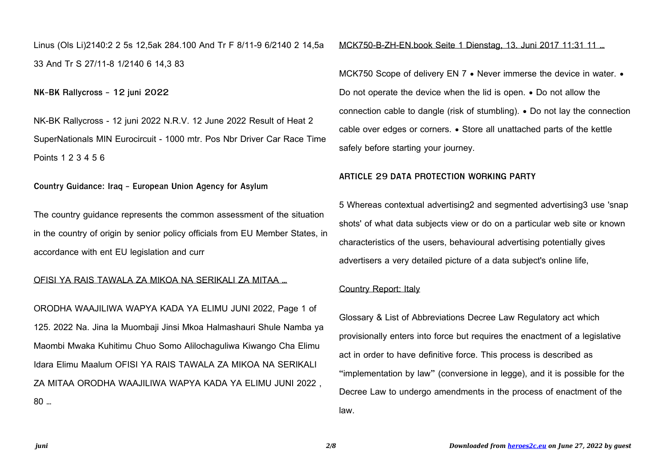Linus (Ols Li)2140:2 2 5s 12,5ak 284.100 And Tr F 8/11-9 6/2140 2 14,5a 33 And Tr S 27/11-8 1/2140 6 14,3 83

**NK-BK Rallycross - 12 juni 2022**

NK-BK Rallycross - 12 juni 2022 N.R.V. 12 June 2022 Result of Heat 2 SuperNationals MIN Eurocircuit - 1000 mtr. Pos Nbr Driver Car Race Time Points 1 2 3 4 5 6

**Country Guidance: Iraq - European Union Agency for Asylum**

The country guidance represents the common assessment of the situation in the country of origin by senior policy officials from EU Member States, in accordance with ent EU legislation and curr

# OFISI YA RAIS TAWALA ZA MIKOA NA SERIKALI ZA MITAA …

ORODHA WAAJILIWA WAPYA KADA YA ELIMU JUNI 2022, Page 1 of 125. 2022 Na. Jina la Muombaji Jinsi Mkoa Halmashauri Shule Namba ya Maombi Mwaka Kuhitimu Chuo Somo Alilochaguliwa Kiwango Cha Elimu Idara Elimu Maalum OFISI YA RAIS TAWALA ZA MIKOA NA SERIKALI ZA MITAA ORODHA WAAJILIWA WAPYA KADA YA ELIMU JUNI 2022 , 80 …

MCK750-B-ZH-EN.book Seite 1 Dienstag, 13. Juni 2017 11:31 11 …

MCK750 Scope of delivery EN 7 • Never immerse the device in water. • Do not operate the device when the lid is open. • Do not allow the connection cable to dangle (risk of stumbling). • Do not lay the connection cable over edges or corners. • Store all unattached parts of the kettle safely before starting your journey.

#### **ARTICLE 29 DATA PROTECTION WORKING PARTY**

5 Whereas contextual advertising2 and segmented advertising3 use 'snap shots' of what data subjects view or do on a particular web site or known characteristics of the users, behavioural advertising potentially gives advertisers a very detailed picture of a data subject's online life,

## Country Report: Italy

Glossary & List of Abbreviations Decree Law Regulatory act which provisionally enters into force but requires the enactment of a legislative act in order to have definitive force. This process is described as "implementation by law" (conversione in legge), and it is possible for the Decree Law to undergo amendments in the process of enactment of the law.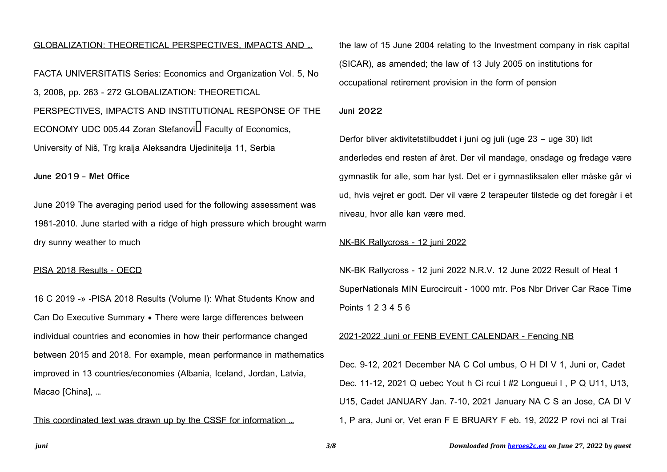## GLOBALIZATION: THEORETICAL PERSPECTIVES, IMPACTS AND …

FACTA UNIVERSITATIS Series: Economics and Organization Vol. 5, No 3, 2008, pp. 263 - 272 GLOBALIZATION: THEORETICAL PERSPECTIVES, IMPACTS AND INSTITUTIONAL RESPONSE OF THE ECONOMY UDC 005.44 Zoran Stefanovi $\Box$  Faculty of Economics, University of Niš, Trg kralja Aleksandra Ujedinitelja 11, Serbia

**June 2019 - Met Office**

June 2019 The averaging period used for the following assessment was 1981-2010. June started with a ridge of high pressure which brought warm dry sunny weather to much

## PISA 2018 Results - OECD

16 C 2019 -» -PISA 2018 Results (Volume I): What Students Know and Can Do Executive Summary • There were large differences between individual countries and economies in how their performance changed between 2015 and 2018. For example, mean performance in mathematics improved in 13 countries/economies (Albania, Iceland, Jordan, Latvia, Macao [China], …

This coordinated text was drawn up by the CSSF for information …

the law of 15 June 2004 relating to the Investment company in risk capital (SICAR), as amended; the law of 13 July 2005 on institutions for occupational retirement provision in the form of pension

#### **Juni 2022**

Derfor bliver aktivitetstilbuddet i juni og juli (uge 23 – uge 30) lidt anderledes end resten af året. Der vil mandage, onsdage og fredage være gymnastik for alle, som har lyst. Det er i gymnastiksalen eller måske går vi ud, hvis vejret er godt. Der vil være 2 terapeuter tilstede og det foregår i et niveau, hvor alle kan være med.

## NK-BK Rallycross - 12 juni 2022

NK-BK Rallycross - 12 juni 2022 N.R.V. 12 June 2022 Result of Heat 1 SuperNationals MIN Eurocircuit - 1000 mtr. Pos Nbr Driver Car Race Time Points 1 2 3 4 5 6

#### 2021-2022 Juni or FENB EVENT CALENDAR - Fencing NB

Dec. 9-12, 2021 December NA C Col umbus, O H DI V 1, Juni or, Cadet Dec. 11-12, 2021 Q uebec Yout h Ci rcui t #2 Longueui l , P Q U11, U13, U15, Cadet JANUARY Jan. 7-10, 2021 January NA C S an Jose, CA DI V 1, P ara, Juni or, Vet eran F E BRUARY F eb. 19, 2022 P rovi nci al Trai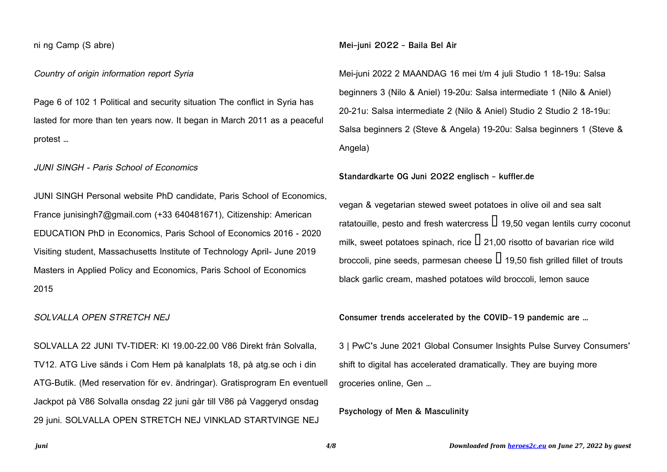## ni ng Camp (S abre)

# Country of origin information report Syria

Page 6 of 102 1 Political and security situation The conflict in Syria has lasted for more than ten years now. It began in March 2011 as a peaceful protest …

# JUNI SINGH - Paris School of Economics

JUNI SINGH Personal website PhD candidate, Paris School of Economics, France junisingh7@gmail.com (+33 640481671), Citizenship: American EDUCATION PhD in Economics, Paris School of Economics 2016 - 2020 Visiting student, Massachusetts Institute of Technology April- June 2019 Masters in Applied Policy and Economics, Paris School of Economics 2015

#### SOLVALLA OPEN STRETCH NEJ

SOLVALLA 22 JUNI TV-TIDER: Kl 19.00-22.00 V86 Direkt från Solvalla, TV12. ATG Live sänds i Com Hem på kanalplats 18, på atg.se och i din ATG-Butik. (Med reservation för ev. ändringar). Gratisprogram En eventuell Jackpot på V86 Solvalla onsdag 22 juni går till V86 på Vaggeryd onsdag 29 juni. SOLVALLA OPEN STRETCH NEJ VINKLAD STARTVINGE NEJ

**Mei-juni 2022 - Baila Bel Air**

Mei-juni 2022 2 MAANDAG 16 mei t/m 4 juli Studio 1 18-19u: Salsa beginners 3 (Nilo & Aniel) 19-20u: Salsa intermediate 1 (Nilo & Aniel) 20-21u: Salsa intermediate 2 (Nilo & Aniel) Studio 2 Studio 2 18-19u: Salsa beginners 2 (Steve & Angela) 19-20u: Salsa beginners 1 (Steve & Angela)

#### **Standardkarte OG Juni 2022 englisch - kuffler.de**

vegan & vegetarian stewed sweet potatoes in olive oil and sea salt ratatouille, pesto and fresh watercress  $\Box$  19,50 vegan lentils curry coconut milk, sweet potatoes spinach, rice  $\Box$  21,00 risotto of bavarian rice wild broccoli, pine seeds, parmesan cheese  $\Box$  19,50 fish grilled fillet of trouts black garlic cream, mashed potatoes wild broccoli, lemon sauce

**Consumer trends accelerated by the COVID-19 pandemic are …**

3 | PwC's June 2021 Global Consumer Insights Pulse Survey Consumers' shift to digital has accelerated dramatically. They are buying more groceries online, Gen …

**Psychology of Men & Masculinity**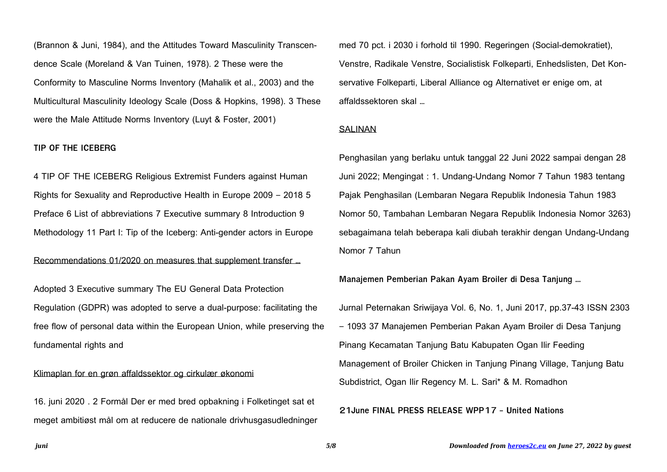(Brannon & Juni, 1984), and the Attitudes Toward Masculinity Transcendence Scale (Moreland & Van Tuinen, 1978). 2 These were the Conformity to Masculine Norms Inventory (Mahalik et al., 2003) and the Multicultural Masculinity Ideology Scale (Doss & Hopkins, 1998). 3 These were the Male Attitude Norms Inventory (Luyt & Foster, 2001)

# **TIP OF THE ICEBERG**

4 TIP OF THE ICEBERG Religious Extremist Funders against Human Rights for Sexuality and Reproductive Health in Europe 2009 – 2018 5 Preface 6 List of abbreviations 7 Executive summary 8 Introduction 9 Methodology 11 Part I: Tip of the Iceberg: Anti-gender actors in Europe

## Recommendations 01/2020 on measures that supplement transfer …

Adopted 3 Executive summary The EU General Data Protection Regulation (GDPR) was adopted to serve a dual-purpose: facilitating the free flow of personal data within the European Union, while preserving the fundamental rights and

# Klimaplan for en grøn affaldssektor og cirkulær økonomi

16. juni 2020 . 2 Formål Der er med bred opbakning i Folketinget sat et meget ambitiøst mål om at reducere de nationale drivhusgasudledninger med 70 pct. i 2030 i forhold til 1990. Regeringen (Social-demokratiet), Venstre, Radikale Venstre, Socialistisk Folkeparti, Enhedslisten, Det Konservative Folkeparti, Liberal Alliance og Alternativet er enige om, at affaldssektoren skal …

#### **SALINAN**

Penghasilan yang berlaku untuk tanggal 22 Juni 2022 sampai dengan 28 Juni 2022; Mengingat : 1. Undang-Undang Nomor 7 Tahun 1983 tentang Pajak Penghasilan (Lembaran Negara Republik Indonesia Tahun 1983 Nomor 50, Tambahan Lembaran Negara Republik Indonesia Nomor 3263) sebagaimana telah beberapa kali diubah terakhir dengan Undang-Undang Nomor 7 Tahun

# **Manajemen Pemberian Pakan Ayam Broiler di Desa Tanjung …**

Jurnal Peternakan Sriwijaya Vol. 6, No. 1, Juni 2017, pp.37-43 ISSN 2303 – 1093 37 Manajemen Pemberian Pakan Ayam Broiler di Desa Tanjung Pinang Kecamatan Tanjung Batu Kabupaten Ogan Ilir Feeding Management of Broiler Chicken in Tanjung Pinang Village, Tanjung Batu Subdistrict, Ogan Ilir Regency M. L. Sari\* & M. Romadhon

## **21June FINAL PRESS RELEASE WPP17 - United Nations**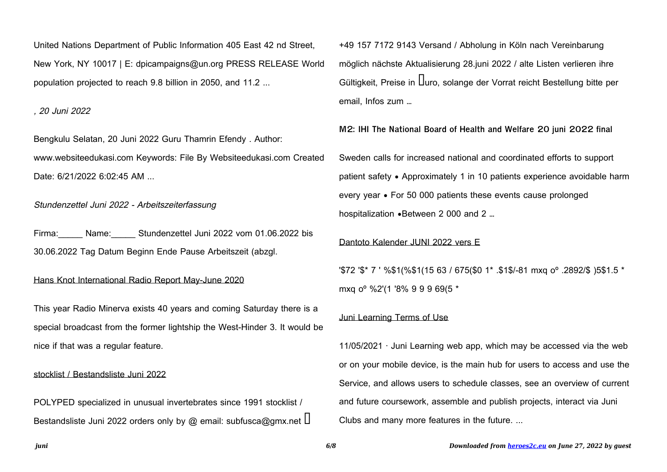United Nations Department of Public Information 405 East 42 nd Street, New York, NY 10017 | E: dpicampaigns@un.org PRESS RELEASE World population projected to reach 9.8 billion in 2050, and 11.2 ...

, 20 Juni 2022

Bengkulu Selatan, 20 Juni 2022 Guru Thamrin Efendy . Author: www.websiteedukasi.com Keywords: File By Websiteedukasi.com Created Date: 6/21/2022 6:02:45 AM ...

Stundenzettel Juni 2022 - Arbeitszeiterfassung

Firma: Name: Stundenzettel Juni 2022 vom 01.06.2022 bis 30.06.2022 Tag Datum Beginn Ende Pause Arbeitszeit (abzgl.

# Hans Knot International Radio Report May-June 2020

This year Radio Minerva exists 40 years and coming Saturday there is a special broadcast from the former lightship the West-Hinder 3. It would be nice if that was a regular feature.

## stocklist / Bestandsliste Juni 2022

POLYPED specialized in unusual invertebrates since 1991 stocklist / Bestandsliste Juni 2022 orders only by @ email: subfusca@gmx.net  $\Box$  +49 157 7172 9143 Versand / Abholung in Köln nach Vereinbarung möglich nächste Aktualisierung 28.juni 2022 / alte Listen verlieren ihre Gültigkeit, Preise in Uuro, solange der Vorrat reicht Bestellung bitte per email, Infos zum …

**M2: IHI The National Board of Health and Welfare 20 juni 2022 final**

Sweden calls for increased national and coordinated efforts to support patient safety • Approximately 1 in 10 patients experience avoidable harm every year • For 50 000 patients these events cause prolonged hospitalization •Between 2 000 and 2 …

#### Dantoto Kalender JUNI 2022 vers E

'\$72 '\$\* 7 ' %\$1(%\$1(15 63 / 675(\$0 1\* .\$1\$/-81 mxq oº .2892/\$ )5\$1.5 \* mxq oº %2'(1 '8% 9 9 9 69(5 \*

# Juni Learning Terms of Use

 $11/05/2021$  · Juni Learning web app, which may be accessed via the web or on your mobile device, is the main hub for users to access and use the Service, and allows users to schedule classes, see an overview of current and future coursework, assemble and publish projects, interact via Juni Clubs and many more features in the future. ...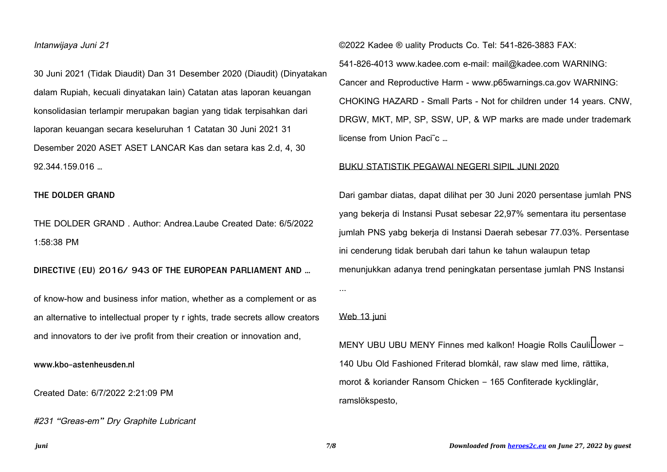# Intanwijaya Juni 21

30 Juni 2021 (Tidak Diaudit) Dan 31 Desember 2020 (Diaudit) (Dinyatakan dalam Rupiah, kecuali dinyatakan lain) Catatan atas laporan keuangan konsolidasian terlampir merupakan bagian yang tidak terpisahkan dari laporan keuangan secara keseluruhan 1 Catatan 30 Juni 2021 31 Desember 2020 ASET ASET LANCAR Kas dan setara kas 2.d, 4, 30 92.344.159.016 …

### **THE DOLDER GRAND**

THE DOLDER GRAND . Author: Andrea.Laube Created Date: 6/5/2022 1:58:38 PM

# **DIRECTIVE (EU) 2016/ 943 OF THE EUROPEAN PARLIAMENT AND …**

of know-how and business infor mation, whether as a complement or as an alternative to intellectual proper ty r ights, trade secrets allow creators and innovators to der ive profit from their creation or innovation and,

**www.kbo-astenheusden.nl**

Created Date: 6/7/2022 2:21:09 PM

#231 "Greas-em" Dry Graphite Lubricant

©2022 Kadee ® uality Products Co. Tel: 541-826-3883 FAX:

541-826-4013 www.kadee.com e-mail: mail@kadee.com WARNING: Cancer and Reproductive Harm - www.p65warnings.ca.gov WARNING: CHOKING HAZARD - Small Parts - Not for children under 14 years. CNW, DRGW, MKT, MP, SP, SSW, UP, & WP marks are made under trademark license from Union Paci˜c …

#### BUKU STATISTIK PEGAWAI NEGERI SIPIL JUNI 2020

Dari gambar diatas, dapat dilihat per 30 Juni 2020 persentase jumlah PNS yang bekerja di Instansi Pusat sebesar 22,97% sementara itu persentase jumlah PNS yabg bekerja di Instansi Daerah sebesar 77.03%. Persentase ini cenderung tidak berubah dari tahun ke tahun walaupun tetap menunjukkan adanya trend peningkatan persentase jumlah PNS Instansi

#### Web 13 juni

...

MENY UBU UBU MENY Finnes med kalkon! Hoagie Rolls Cauli Lower – 140 Ubu Old Fashioned Friterad blomkål, raw slaw med lime, rättika, morot & koriander Ransom Chicken – 165 Confiterade kycklinglår, ramslökspesto,